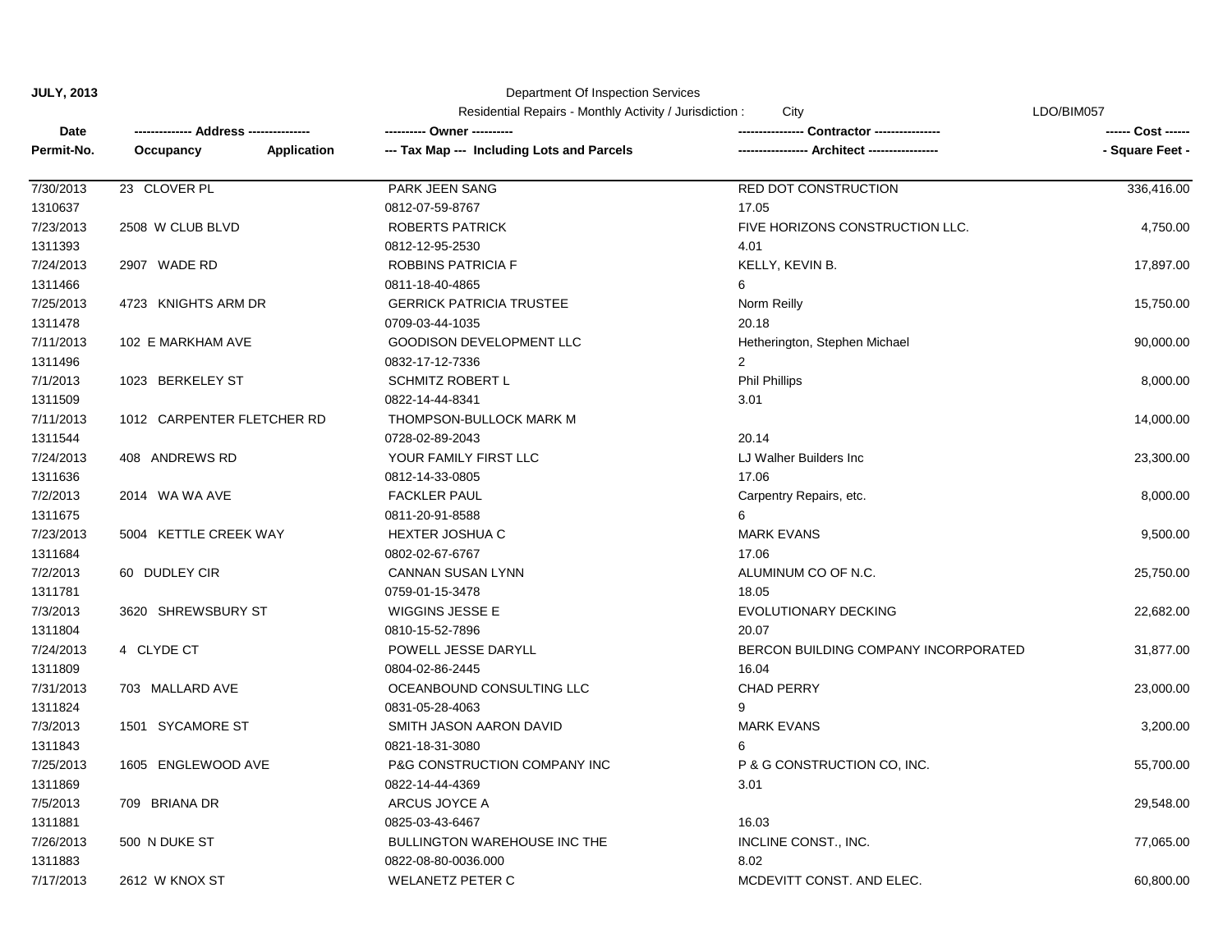#### Department Of Inspection Services

|  |  |  |  | Residential Repairs - Monthly Activity / Jurisdiction : |
|--|--|--|--|---------------------------------------------------------|
|--|--|--|--|---------------------------------------------------------|

Residential Repairs - Monthly Activity / Jurisdiction : City LDO/BIM057

| <b>Date</b> |                            | ---------- Owner ----------                |                                      | ------ Cost ------ |
|-------------|----------------------------|--------------------------------------------|--------------------------------------|--------------------|
| Permit-No.  | Occupancy<br>Application   | --- Tax Map --- Including Lots and Parcels | ---- Architect ------------          | - Square Feet -    |
| 7/30/2013   | 23 CLOVER PL               | PARK JEEN SANG                             | <b>RED DOT CONSTRUCTION</b>          | 336,416.00         |
| 1310637     |                            | 0812-07-59-8767                            | 17.05                                |                    |
| 7/23/2013   | 2508 W CLUB BLVD           | <b>ROBERTS PATRICK</b>                     | FIVE HORIZONS CONSTRUCTION LLC.      | 4,750.00           |
| 1311393     |                            | 0812-12-95-2530                            | 4.01                                 |                    |
| 7/24/2013   | 2907 WADE RD               | <b>ROBBINS PATRICIA F</b>                  | KELLY, KEVIN B.                      | 17,897.00          |
| 1311466     |                            | 0811-18-40-4865                            | 6                                    |                    |
| 7/25/2013   | 4723 KNIGHTS ARM DR        | <b>GERRICK PATRICIA TRUSTEE</b>            | Norm Reilly                          | 15,750.00          |
| 1311478     |                            | 0709-03-44-1035                            | 20.18                                |                    |
| 7/11/2013   | 102 E MARKHAM AVE          | <b>GOODISON DEVELOPMENT LLC</b>            | Hetherington, Stephen Michael        | 90,000.00          |
| 1311496     |                            | 0832-17-12-7336                            | $\overline{2}$                       |                    |
| 7/1/2013    | 1023 BERKELEY ST           | SCHMITZ ROBERT L                           | <b>Phil Phillips</b>                 | 8,000.00           |
| 1311509     |                            | 0822-14-44-8341                            | 3.01                                 |                    |
| 7/11/2013   | 1012 CARPENTER FLETCHER RD | THOMPSON-BULLOCK MARK M                    |                                      | 14,000.00          |
| 1311544     |                            | 0728-02-89-2043                            | 20.14                                |                    |
| 7/24/2013   | 408 ANDREWS RD             | YOUR FAMILY FIRST LLC                      | LJ Walher Builders Inc               | 23,300.00          |
| 1311636     |                            | 0812-14-33-0805                            | 17.06                                |                    |
| 7/2/2013    | 2014 WA WA AVE             | <b>FACKLER PAUL</b>                        | Carpentry Repairs, etc.              | 8,000.00           |
| 1311675     |                            | 0811-20-91-8588                            | 6                                    |                    |
| 7/23/2013   | 5004 KETTLE CREEK WAY      | HEXTER JOSHUA C                            | <b>MARK EVANS</b>                    | 9,500.00           |
| 1311684     |                            | 0802-02-67-6767                            | 17.06                                |                    |
| 7/2/2013    | 60 DUDLEY CIR              | <b>CANNAN SUSAN LYNN</b>                   | ALUMINUM CO OF N.C.                  | 25,750.00          |
| 1311781     |                            | 0759-01-15-3478                            | 18.05                                |                    |
| 7/3/2013    | 3620 SHREWSBURY ST         | WIGGINS JESSE E                            | EVOLUTIONARY DECKING                 | 22,682.00          |
| 1311804     |                            | 0810-15-52-7896                            | 20.07                                |                    |
| 7/24/2013   | 4 CLYDE CT                 | POWELL JESSE DARYLL                        | BERCON BUILDING COMPANY INCORPORATED | 31,877.00          |
| 1311809     |                            | 0804-02-86-2445                            | 16.04                                |                    |
| 7/31/2013   | 703 MALLARD AVE            | OCEANBOUND CONSULTING LLC                  | <b>CHAD PERRY</b>                    | 23,000.00          |
| 1311824     |                            | 0831-05-28-4063                            | 9                                    |                    |
| 7/3/2013    | 1501 SYCAMORE ST           | SMITH JASON AARON DAVID                    | <b>MARK EVANS</b>                    | 3,200.00           |
| 1311843     |                            | 0821-18-31-3080                            | 6                                    |                    |
| 7/25/2013   | 1605 ENGLEWOOD AVE         | P&G CONSTRUCTION COMPANY INC               | P & G CONSTRUCTION CO, INC.          | 55,700.00          |
| 1311869     |                            | 0822-14-44-4369                            | 3.01                                 |                    |
| 7/5/2013    | 709 BRIANA DR              | ARCUS JOYCE A                              |                                      | 29,548.00          |
| 1311881     |                            | 0825-03-43-6467                            | 16.03                                |                    |
| 7/26/2013   | 500 N DUKE ST              | BULLINGTON WAREHOUSE INC THE               | INCLINE CONST., INC.                 | 77,065.00          |
| 1311883     |                            | 0822-08-80-0036.000                        | 8.02                                 |                    |
| 7/17/2013   | 2612 W KNOX ST             | <b>WELANETZ PETER C</b>                    | MCDEVITT CONST. AND ELEC.            | 60,800.00          |
|             |                            |                                            |                                      |                    |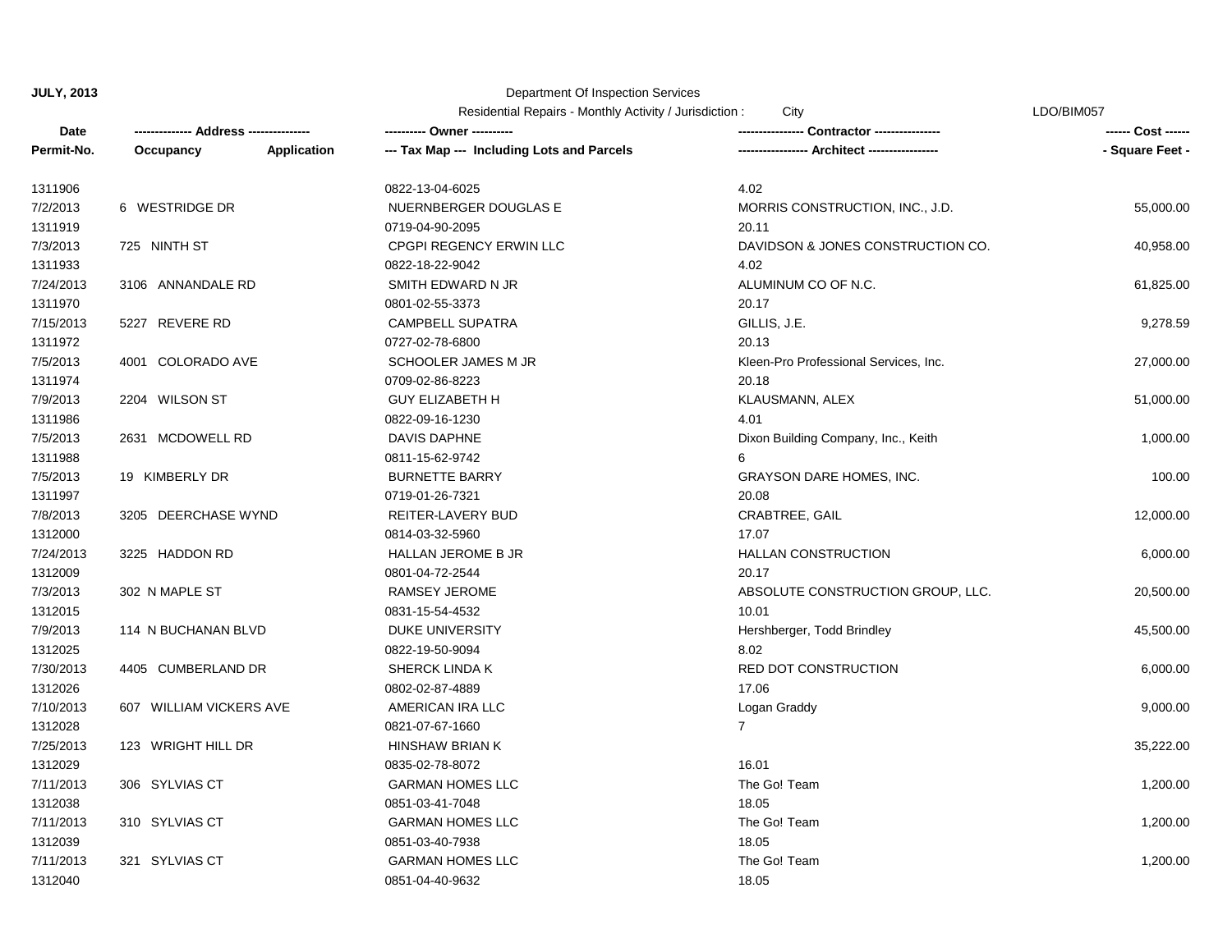| Residential Repairs - Monthly Activity / Jurisdiction: | City | LDO/BIM057 |
|--------------------------------------------------------|------|------------|
|--------------------------------------------------------|------|------------|

| Date       |                         |             | <b>INCORDINAL INCREASE INIGHTING ACTIVITY</b> / <b>JUILISLICTION</b><br>---------- Owner ---------- | -- Contractor ---------------         | ------ Cost ------ |
|------------|-------------------------|-------------|-----------------------------------------------------------------------------------------------------|---------------------------------------|--------------------|
| Permit-No. | Occupancy               | Application | --- Tax Map --- Including Lots and Parcels                                                          | --- Architect -----------------       | - Square Feet -    |
| 1311906    |                         |             | 0822-13-04-6025                                                                                     | 4.02                                  |                    |
| 7/2/2013   | 6 WESTRIDGE DR          |             | NUERNBERGER DOUGLAS E                                                                               | MORRIS CONSTRUCTION, INC., J.D.       | 55,000.00          |
| 1311919    |                         |             | 0719-04-90-2095                                                                                     | 20.11                                 |                    |
| 7/3/2013   | 725 NINTH ST            |             | CPGPI REGENCY ERWIN LLC                                                                             | DAVIDSON & JONES CONSTRUCTION CO.     | 40,958.00          |
| 1311933    |                         |             | 0822-18-22-9042                                                                                     | 4.02                                  |                    |
| 7/24/2013  | 3106 ANNANDALE RD       |             | SMITH EDWARD N JR                                                                                   | ALUMINUM CO OF N.C.                   | 61,825.00          |
| 1311970    |                         |             | 0801-02-55-3373                                                                                     | 20.17                                 |                    |
| 7/15/2013  | 5227 REVERE RD          |             | <b>CAMPBELL SUPATRA</b>                                                                             | GILLIS, J.E.                          | 9,278.59           |
| 1311972    |                         |             | 0727-02-78-6800                                                                                     | 20.13                                 |                    |
| 7/5/2013   | 4001 COLORADO AVE       |             | SCHOOLER JAMES M JR                                                                                 | Kleen-Pro Professional Services, Inc. | 27,000.00          |
| 1311974    |                         |             | 0709-02-86-8223                                                                                     | 20.18                                 |                    |
| 7/9/2013   | 2204 WILSON ST          |             | <b>GUY ELIZABETH H</b>                                                                              | KLAUSMANN, ALEX                       | 51,000.00          |
| 1311986    |                         |             | 0822-09-16-1230                                                                                     | 4.01                                  |                    |
| 7/5/2013   | 2631 MCDOWELL RD        |             | DAVIS DAPHNE                                                                                        | Dixon Building Company, Inc., Keith   | 1,000.00           |
| 1311988    |                         |             | 0811-15-62-9742                                                                                     |                                       |                    |
| 7/5/2013   | 19 KIMBERLY DR          |             | <b>BURNETTE BARRY</b>                                                                               | <b>GRAYSON DARE HOMES, INC.</b>       | 100.00             |
| 1311997    |                         |             | 0719-01-26-7321                                                                                     | 20.08                                 |                    |
| 7/8/2013   | 3205 DEERCHASE WYND     |             | REITER-LAVERY BUD                                                                                   | CRABTREE, GAIL                        | 12,000.00          |
| 1312000    |                         |             | 0814-03-32-5960                                                                                     | 17.07                                 |                    |
| 7/24/2013  | 3225 HADDON RD          |             | <b>HALLAN JEROME B JR</b>                                                                           | <b>HALLAN CONSTRUCTION</b>            | 6,000.00           |
| 1312009    |                         |             | 0801-04-72-2544                                                                                     | 20.17                                 |                    |
| 7/3/2013   | 302 N MAPLE ST          |             | RAMSEY JEROME                                                                                       | ABSOLUTE CONSTRUCTION GROUP, LLC.     | 20,500.00          |
| 1312015    |                         |             | 0831-15-54-4532                                                                                     | 10.01                                 |                    |
| 7/9/2013   | 114 N BUCHANAN BLVD     |             | <b>DUKE UNIVERSITY</b>                                                                              | Hershberger, Todd Brindley            | 45,500.00          |
| 1312025    |                         |             | 0822-19-50-9094                                                                                     | 8.02                                  |                    |
| 7/30/2013  | 4405 CUMBERLAND DR      |             | <b>SHERCK LINDA K</b>                                                                               | <b>RED DOT CONSTRUCTION</b>           | 6,000.00           |
| 1312026    |                         |             | 0802-02-87-4889                                                                                     | 17.06                                 |                    |
| 7/10/2013  | 607 WILLIAM VICKERS AVE |             | AMERICAN IRA LLC                                                                                    | Logan Graddy                          | 9,000.00           |
| 1312028    |                         |             | 0821-07-67-1660                                                                                     | $7^{\circ}$                           |                    |
| 7/25/2013  | 123 WRIGHT HILL DR      |             | HINSHAW BRIAN K                                                                                     |                                       | 35,222.00          |
| 1312029    |                         |             | 0835-02-78-8072                                                                                     | 16.01                                 |                    |
| 7/11/2013  | 306 SYLVIAS CT          |             | <b>GARMAN HOMES LLC</b>                                                                             | The Go! Team                          | 1,200.00           |
| 1312038    |                         |             | 0851-03-41-7048                                                                                     | 18.05                                 |                    |
| 7/11/2013  | 310 SYLVIAS CT          |             | <b>GARMAN HOMES LLC</b>                                                                             | The Go! Team                          | 1,200.00           |
| 1312039    |                         |             | 0851-03-40-7938                                                                                     | 18.05                                 |                    |
| 7/11/2013  | 321 SYLVIAS CT          |             | <b>GARMAN HOMES LLC</b>                                                                             | The Go! Team                          | 1,200.00           |
| 1312040    |                         |             | 0851-04-40-9632                                                                                     | 18.05                                 |                    |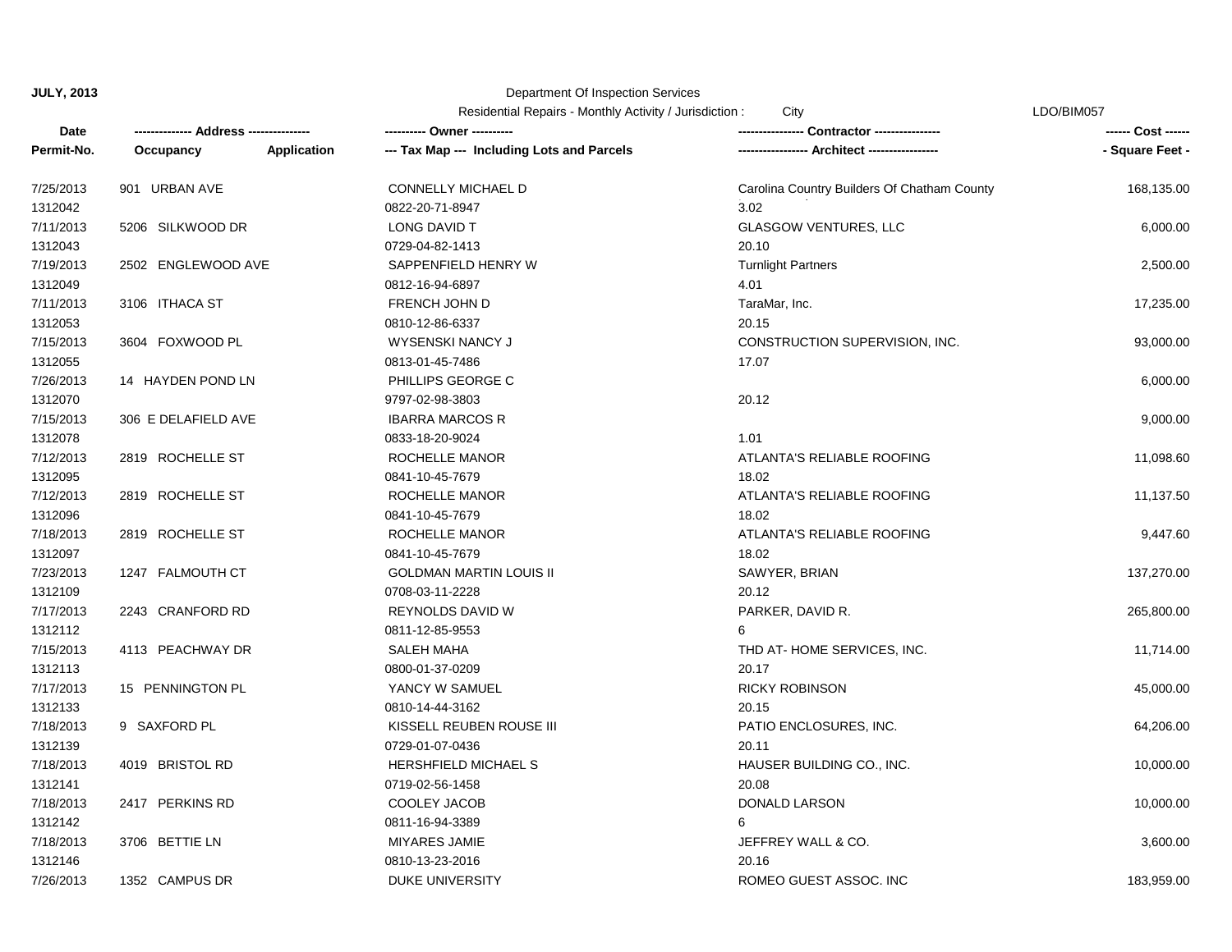| Residential Repairs - Monthly Activity / Jurisdiction: | Citv | LDO/BIM057 |
|--------------------------------------------------------|------|------------|
|--------------------------------------------------------|------|------------|

| Date       |                     |             |                                            |                                             | ------ Cost ------ |
|------------|---------------------|-------------|--------------------------------------------|---------------------------------------------|--------------------|
| Permit-No. | Occupancy           | Application | --- Tax Map --- Including Lots and Parcels | --- Architect -----------------             | - Square Feet -    |
| 7/25/2013  | 901 URBAN AVE       |             | <b>CONNELLY MICHAEL D</b>                  | Carolina Country Builders Of Chatham County | 168,135.00         |
| 1312042    |                     |             | 0822-20-71-8947                            | 3.02                                        |                    |
| 7/11/2013  | 5206 SILKWOOD DR    |             | LONG DAVID T                               | <b>GLASGOW VENTURES, LLC</b>                | 6,000.00           |
| 1312043    |                     |             | 0729-04-82-1413                            | 20.10                                       |                    |
| 7/19/2013  | 2502 ENGLEWOOD AVE  |             | SAPPENFIELD HENRY W                        | <b>Turnlight Partners</b>                   | 2,500.00           |
| 1312049    |                     |             | 0812-16-94-6897                            | 4.01                                        |                    |
| 7/11/2013  | 3106 ITHACA ST      |             | FRENCH JOHN D                              | TaraMar, Inc.                               | 17,235.00          |
| 1312053    |                     |             | 0810-12-86-6337                            | 20.15                                       |                    |
| 7/15/2013  | 3604 FOXWOOD PL     |             | WYSENSKI NANCY J                           | CONSTRUCTION SUPERVISION, INC.              | 93,000.00          |
| 1312055    |                     |             | 0813-01-45-7486                            | 17.07                                       |                    |
| 7/26/2013  | 14 HAYDEN POND LN   |             | PHILLIPS GEORGE C                          |                                             | 6,000.00           |
| 1312070    |                     |             | 9797-02-98-3803                            | 20.12                                       |                    |
| 7/15/2013  | 306 E DELAFIELD AVE |             | <b>IBARRA MARCOS R</b>                     |                                             | 9,000.00           |
| 1312078    |                     |             | 0833-18-20-9024                            | 1.01                                        |                    |
| 7/12/2013  | 2819 ROCHELLE ST    |             | ROCHELLE MANOR                             | ATLANTA'S RELIABLE ROOFING                  | 11,098.60          |
| 1312095    |                     |             | 0841-10-45-7679                            | 18.02                                       |                    |
| 7/12/2013  | 2819 ROCHELLE ST    |             | ROCHELLE MANOR                             | ATLANTA'S RELIABLE ROOFING                  | 11,137.50          |
| 1312096    |                     |             | 0841-10-45-7679                            | 18.02                                       |                    |
| 7/18/2013  | 2819 ROCHELLE ST    |             | ROCHELLE MANOR                             | ATLANTA'S RELIABLE ROOFING                  | 9,447.60           |
| 1312097    |                     |             | 0841-10-45-7679                            | 18.02                                       |                    |
| 7/23/2013  | 1247 FALMOUTH CT    |             | <b>GOLDMAN MARTIN LOUIS II</b>             | SAWYER, BRIAN                               | 137,270.00         |
| 1312109    |                     |             | 0708-03-11-2228                            | 20.12                                       |                    |
| 7/17/2013  | 2243 CRANFORD RD    |             | REYNOLDS DAVID W                           | PARKER, DAVID R.                            | 265,800.00         |
| 1312112    |                     |             | 0811-12-85-9553                            | 6                                           |                    |
| 7/15/2013  | 4113 PEACHWAY DR    |             | <b>SALEH MAHA</b>                          | THD AT-HOME SERVICES, INC.                  | 11,714.00          |
| 1312113    |                     |             | 0800-01-37-0209                            | 20.17                                       |                    |
| 7/17/2013  | 15 PENNINGTON PL    |             | YANCY W SAMUEL                             | <b>RICKY ROBINSON</b>                       | 45,000.00          |
| 1312133    |                     |             | 0810-14-44-3162                            | 20.15                                       |                    |
| 7/18/2013  | 9 SAXFORD PL        |             | KISSELL REUBEN ROUSE III                   | PATIO ENCLOSURES, INC.                      | 64,206.00          |
| 1312139    |                     |             | 0729-01-07-0436                            | 20.11                                       |                    |
| 7/18/2013  | 4019 BRISTOL RD     |             | HERSHFIELD MICHAEL S                       | HAUSER BUILDING CO., INC.                   | 10,000.00          |
| 1312141    |                     |             | 0719-02-56-1458                            | 20.08                                       |                    |
| 7/18/2013  | 2417 PERKINS RD     |             | COOLEY JACOB                               | DONALD LARSON                               | 10,000.00          |
| 1312142    |                     |             | 0811-16-94-3389                            | 6                                           |                    |
| 7/18/2013  | 3706 BETTIE LN      |             | <b>MIYARES JAMIE</b>                       | JEFFREY WALL & CO.                          | 3,600.00           |
| 1312146    |                     |             | 0810-13-23-2016                            | 20.16                                       |                    |
| 7/26/2013  | 1352 CAMPUS DR      |             | DUKE UNIVERSITY                            | ROMEO GUEST ASSOC. INC                      | 183,959.00         |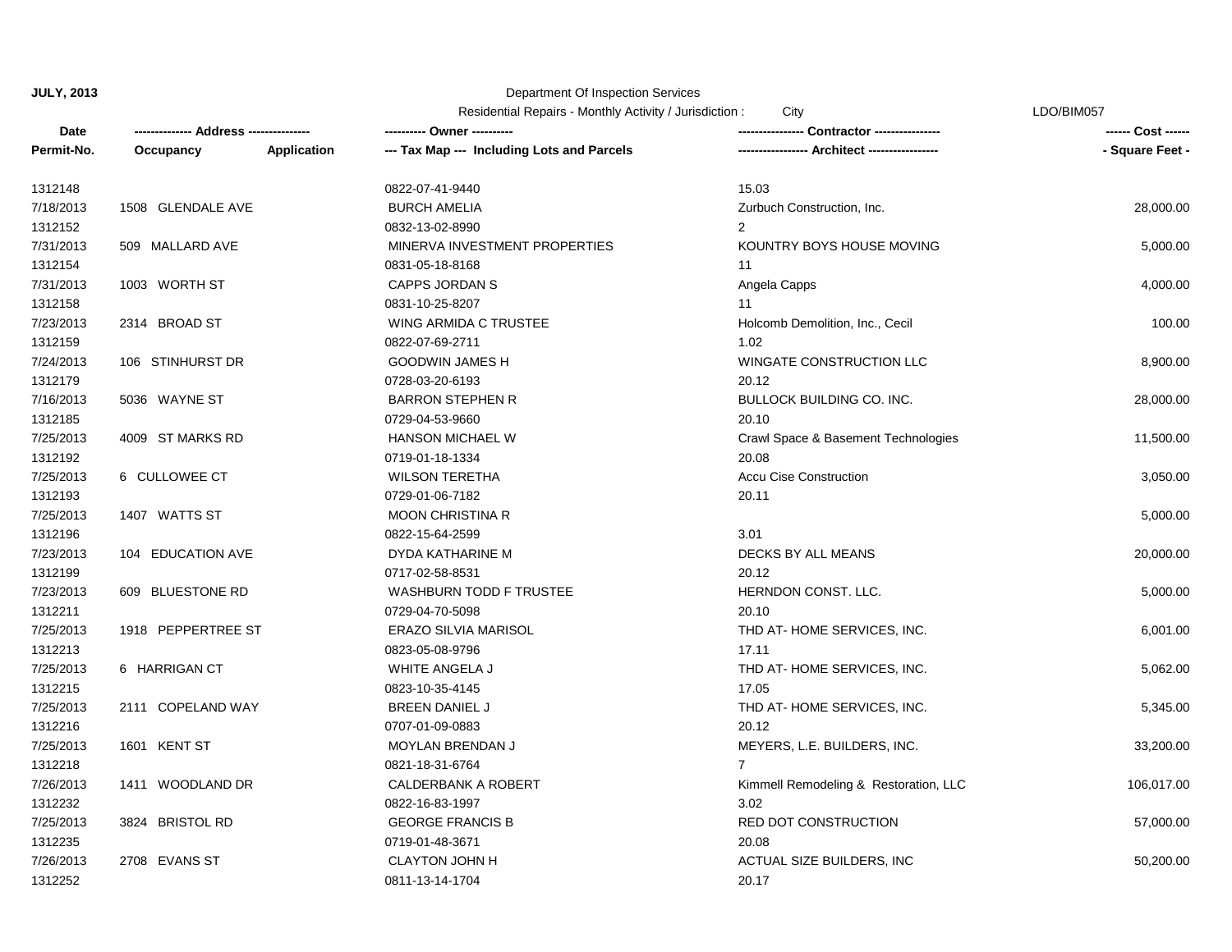|            |                    |                    | Residential Repairs - Monthly Activity / Jurisdiction : | City                                  | LDO/BIM057         |  |
|------------|--------------------|--------------------|---------------------------------------------------------|---------------------------------------|--------------------|--|
| Date       |                    |                    | ---------- Owner ----------                             |                                       | ------ Cost ------ |  |
| Permit-No. | Occupancy          | <b>Application</b> | --- Tax Map --- Including Lots and Parcels              | --- Architect ------                  | - Square Feet -    |  |
| 1312148    |                    |                    | 0822-07-41-9440                                         | 15.03                                 |                    |  |
| 7/18/2013  | 1508 GLENDALE AVE  |                    | <b>BURCH AMELIA</b>                                     | Zurbuch Construction, Inc.            | 28,000.00          |  |
| 1312152    |                    |                    | 0832-13-02-8990                                         | $\overline{2}$                        |                    |  |
| 7/31/2013  | 509 MALLARD AVE    |                    | MINERVA INVESTMENT PROPERTIES                           | KOUNTRY BOYS HOUSE MOVING             | 5,000.00           |  |
| 1312154    |                    |                    | 0831-05-18-8168                                         | 11                                    |                    |  |
| 7/31/2013  | 1003 WORTH ST      |                    | <b>CAPPS JORDAN S</b>                                   | Angela Capps                          | 4,000.00           |  |
| 1312158    |                    |                    | 0831-10-25-8207                                         | 11                                    |                    |  |
| 7/23/2013  | 2314 BROAD ST      |                    | WING ARMIDA C TRUSTEE                                   | Holcomb Demolition, Inc., Cecil       | 100.00             |  |
| 1312159    |                    |                    | 0822-07-69-2711                                         | 1.02                                  |                    |  |
| 7/24/2013  | 106 STINHURST DR   |                    | <b>GOODWIN JAMES H</b>                                  | WINGATE CONSTRUCTION LLC              | 8,900.00           |  |
| 1312179    |                    |                    | 0728-03-20-6193                                         | 20.12                                 |                    |  |
| 7/16/2013  | 5036 WAYNE ST      |                    | <b>BARRON STEPHEN R</b>                                 | BULLOCK BUILDING CO. INC.             | 28,000.00          |  |
| 1312185    |                    |                    | 0729-04-53-9660                                         | 20.10                                 |                    |  |
| 7/25/2013  | 4009 ST MARKS RD   |                    | <b>HANSON MICHAEL W</b>                                 | Crawl Space & Basement Technologies   | 11,500.00          |  |
| 1312192    |                    |                    | 0719-01-18-1334                                         | 20.08                                 |                    |  |
| 7/25/2013  | 6 CULLOWEE CT      |                    | <b>WILSON TERETHA</b>                                   | <b>Accu Cise Construction</b>         | 3,050.00           |  |
| 1312193    |                    |                    | 0729-01-06-7182                                         | 20.11                                 |                    |  |
| 7/25/2013  | 1407 WATTS ST      |                    | <b>MOON CHRISTINA R</b>                                 |                                       | 5,000.00           |  |
| 1312196    |                    |                    | 0822-15-64-2599                                         | 3.01                                  |                    |  |
| 7/23/2013  | 104 EDUCATION AVE  |                    | DYDA KATHARINE M                                        | DECKS BY ALL MEANS                    | 20,000.00          |  |
| 1312199    |                    |                    | 0717-02-58-8531                                         | 20.12                                 |                    |  |
| 7/23/2013  | 609 BLUESTONE RD   |                    | <b>WASHBURN TODD F TRUSTEE</b>                          | HERNDON CONST. LLC.                   | 5,000.00           |  |
| 1312211    |                    |                    | 0729-04-70-5098                                         | 20.10                                 |                    |  |
| 7/25/2013  | 1918 PEPPERTREE ST |                    | <b>ERAZO SILVIA MARISOL</b>                             | THD AT-HOME SERVICES, INC.            | 6,001.00           |  |
| 1312213    |                    |                    | 0823-05-08-9796                                         | 17.11                                 |                    |  |
| 7/25/2013  | 6 HARRIGAN CT      |                    | WHITE ANGELA J                                          | THD AT-HOME SERVICES, INC.            | 5,062.00           |  |
| 1312215    |                    |                    | 0823-10-35-4145                                         | 17.05                                 |                    |  |
| 7/25/2013  | 2111 COPELAND WAY  |                    | <b>BREEN DANIEL J</b>                                   | THD AT-HOME SERVICES, INC.            | 5,345.00           |  |
| 1312216    |                    |                    | 0707-01-09-0883                                         | 20.12                                 |                    |  |
| 7/25/2013  | 1601 KENT ST       |                    | <b>MOYLAN BRENDAN J</b>                                 | MEYERS, L.E. BUILDERS, INC.           | 33,200.00          |  |
| 1312218    |                    |                    | 0821-18-31-6764                                         |                                       |                    |  |
| 7/26/2013  | 1411 WOODLAND DR   |                    | CALDERBANK A ROBERT                                     | Kimmell Remodeling & Restoration, LLC | 106,017.00         |  |
| 1312232    |                    |                    | 0822-16-83-1997                                         | 3.02                                  |                    |  |
| 7/25/2013  | 3824 BRISTOL RD    |                    | <b>GEORGE FRANCIS B</b>                                 | <b>RED DOT CONSTRUCTION</b>           | 57,000.00          |  |
| 1312235    |                    |                    | 0719-01-48-3671                                         | 20.08                                 |                    |  |
| 7/26/2013  | 2708 EVANS ST      |                    | <b>CLAYTON JOHN H</b>                                   | ACTUAL SIZE BUILDERS, INC             | 50,200.00          |  |
| 1312252    |                    |                    | 0811-13-14-1704                                         | 20.17                                 |                    |  |